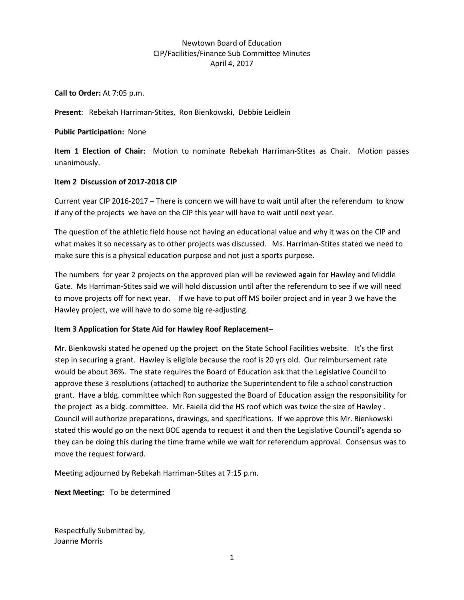## Newtown Board of Education CIP/Facilities/Finance Sub Committee Minutes April 4, 2017

**Call to Order:** At 7:05 p.m.

**Present**: Rebekah Harriman-Stites, Ron Bienkowski, Debbie Leidlein

**Public Participation:** None

**Item 1 Election of Chair:** Motion to nominate Rebekah Harriman-Stites as Chair. Motion passes unanimously.

### **Item 2 Discussion of 2017-2018 CIP**

Current year CIP 2016-2017 – There is concern we will have to wait until after the referendum to know if any of the projects we have on the CIP this year will have to wait until next year.

The question of the athletic field house not having an educational value and why it was on the CIP and what makes it so necessary as to other projects was discussed. Ms. Harriman-Stites stated we need to make sure this is a physical education purpose and not just a sports purpose.

The numbers for year 2 projects on the approved plan will be reviewed again for Hawley and Middle Gate. Ms Harriman-Stites said we will hold discussion until after the referendum to see if we will need to move projects off for next year. If we have to put off MS boiler project and in year 3 we have the Hawley project, we will have to do some big re-adjusting.

### **Item 3 Application for State Aid for Hawley Roof Replacement–**

Mr. Bienkowski stated he opened up the project on the State School Facilities website. It's the first step in securing a grant. Hawley is eligible because the roof is 20 yrs old. Our reimbursement rate would be about 36%. The state requires the Board of Education ask that the Legislative Council to approve these 3 resolutions (attached) to authorize the Superintendent to file a school construction grant. Have a bldg. committee which Ron suggested the Board of Education assign the responsibility for the project as a bldg. committee. Mr. Faiella did the HS roof which was twice the size of Hawley . Council will authorize preparations, drawings, and specifications. If we approve this Mr. Bienkowski stated this would go on the next BOE agenda to request it and then the Legislative Council's agenda so they can be doing this during the time frame while we wait for referendum approval. Consensus was to move the request forward.

Meeting adjourned by Rebekah Harriman-Stites at 7:15 p.m.

**Next Meeting:** To be determined

Respectfully Submitted by, Joanne Morris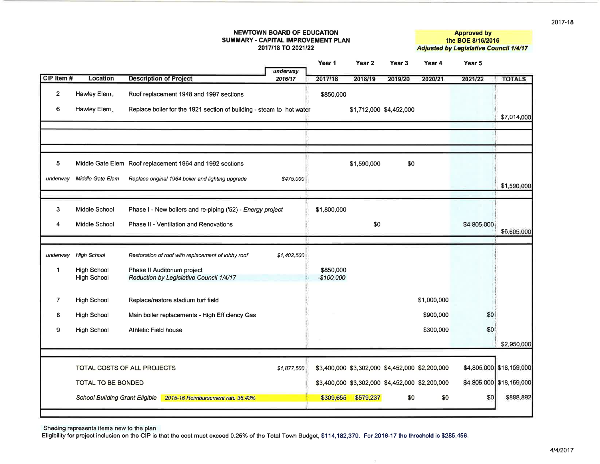#### **NEWTOWN BOARD OF EDUCATION** SUMMARY - CAPITAL IMPROVEMENT PLAN 2017/18 TO 2021/22

**Approved by** the BOE 8/16/2016 **Adjusted by Legislative Council 1/4/17** 

|                         |                                            |                                                                        |             | Year 1                   | Year 2                  | Year 3                                          | Year 4      | Year 5      |                          |
|-------------------------|--------------------------------------------|------------------------------------------------------------------------|-------------|--------------------------|-------------------------|-------------------------------------------------|-------------|-------------|--------------------------|
|                         |                                            |                                                                        | underway    |                          |                         |                                                 |             |             |                          |
| CIP Item #              | Location                                   | <b>Description of Project</b>                                          | 2016/17     | 2017/18                  | 2018/19                 | 2019/20                                         | 2020/21     | 2021/22     | <b>TOTALS</b>            |
| $\overline{\mathbf{c}}$ | Hawley Elem.                               | Roof replacement 1948 and 1997 sections                                |             | \$850,000                |                         |                                                 |             |             |                          |
| 6                       | Hawley Elem.                               | Replace boiler for the 1921 section of building - steam to hot water   |             |                          | \$1,712,000 \$4,452,000 |                                                 |             |             | \$7,014,000              |
|                         |                                            |                                                                        |             |                          |                         |                                                 |             |             |                          |
|                         |                                            |                                                                        |             |                          |                         |                                                 |             |             |                          |
| 5                       |                                            | Middle Gate Elem Roof replacement 1964 and 1992 sections               |             |                          | \$1,590,000             | \$0                                             |             |             |                          |
| underway                | Middle Gate Elem                           | Replace original 1964 boiler and lighting upgrade                      | \$475,000   |                          |                         |                                                 |             |             | \$1,590,000              |
|                         |                                            |                                                                        |             |                          |                         |                                                 |             |             |                          |
| 3                       | Middle School                              | Phase I - New boilers and re-piping ('52) - Energy project             |             | \$1,800,000              |                         |                                                 |             |             |                          |
| 4                       | Middle School                              | Phase II - Ventilation and Renovations                                 |             |                          | \$0                     |                                                 |             | \$4,805,000 | \$6,605,000              |
|                         |                                            |                                                                        |             |                          |                         |                                                 |             |             |                          |
| underway                | <b>High School</b>                         | Restoration of roof with replacement of lobby roof                     | \$1,402,500 |                          |                         |                                                 |             |             |                          |
| 1                       | <b>High School</b><br><b>High School</b>   | Phase II Auditorium project<br>Reduction by Legislative Council 1/4/17 |             | \$850,000<br>$-$100,000$ |                         |                                                 |             |             |                          |
|                         |                                            |                                                                        |             |                          |                         |                                                 |             |             |                          |
| 7                       | <b>High School</b>                         | Replace/restore stadium turf field                                     |             |                          |                         |                                                 | \$1,000,000 |             |                          |
| 8                       | High School                                | Main boiler replacements - High Efficiency Gas                         |             |                          |                         |                                                 | \$900,000   | \$0         |                          |
| 9                       | <b>High School</b>                         | Athletic Field house                                                   |             |                          |                         |                                                 | \$300,000   | \$0         |                          |
|                         |                                            |                                                                        |             |                          |                         |                                                 |             |             | \$2,950,000              |
|                         |                                            |                                                                        |             |                          |                         |                                                 |             |             |                          |
|                         | TOTAL COSTS OF ALL PROJECTS<br>\$1,877,500 |                                                                        |             |                          |                         | \$3,400,000 \$3,302,000 \$4,452,000 \$2,200,000 |             |             | \$4,805,000 \$18,159,000 |
|                         | <b>TOTAL TO BE BONDED</b>                  |                                                                        |             |                          |                         | \$3,400,000 \$3,302,000 \$4,452,000 \$2,200,000 |             |             | \$4,805,000 \$18,159,000 |
|                         | <b>School Building Grant Eligible</b>      | 2015-16 Reimbursement rate 36.43%                                      |             | \$309,655                | \$579,237               | \$0                                             | \$0         | \$0         | \$888,892                |
|                         |                                            |                                                                        |             |                          |                         |                                                 |             |             |                          |

Shading represents items new to the plan

Eligibility for project inclusion on the CIP is that the cost must exceed 0.25% of the Total Town Budget, \$114,182,379. For 2016-17 the threshold is \$285,456.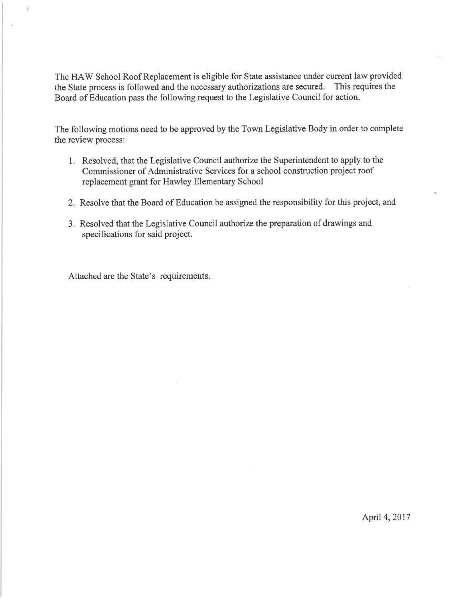The HAW School Roof Replacement is eligible for State assistance under current law provided the State process is followed and the necessary authorizations are secured. This requires the Board of Education pass the following request to the Legislative Council for action.

The following motions need to be approved by the Town Legislative Body in order to complete the review process:

- 1. Resolved, that the Legislative Council authorize the Superintendent to apply to the Commissioner of Administrative Services for a school construction project roof replacement grant for Hawley Elementary School
- 2. Resolve that the Board of Education be assigned the responsibility for this project, and
- 3. Resolved that the Legislative Council authorize the preparation of drawings and specifications for said project.

Attached are the State's requirements.

ÿ